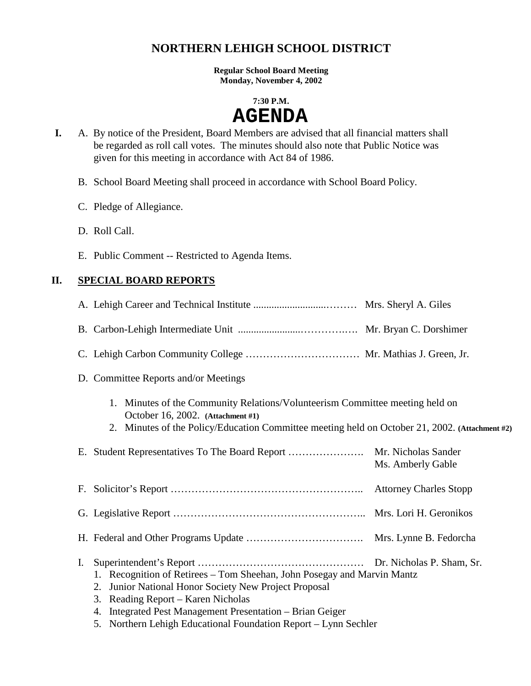## **NORTHERN LEHIGH SCHOOL DISTRICT**

**Regular School Board Meeting Monday, November 4, 2002** 

#### **7:30 P.M.**

# **AGENDA**

- **I.** A. By notice of the President, Board Members are advised that all financial matters shall be regarded as roll call votes. The minutes should also note that Public Notice was given for this meeting in accordance with Act 84 of 1986.
	- B. School Board Meeting shall proceed in accordance with School Board Policy.
	- C. Pledge of Allegiance.
	- D. Roll Call.
	- E. Public Comment -- Restricted to Agenda Items.

## **II. SPECIAL BOARD REPORTS**

|                | D. Committee Reports and/or Meetings                                                                                                                                                                                                                                                                                                                                          |                                          |
|----------------|-------------------------------------------------------------------------------------------------------------------------------------------------------------------------------------------------------------------------------------------------------------------------------------------------------------------------------------------------------------------------------|------------------------------------------|
|                | 1. Minutes of the Community Relations/Volunteerism Committee meeting held on<br>October 16, 2002. (Attachment #1)<br>2. Minutes of the Policy/Education Committee meeting held on October 21, 2002. (Attachment #2)                                                                                                                                                           |                                          |
|                |                                                                                                                                                                                                                                                                                                                                                                               | Mr. Nicholas Sander<br>Ms. Amberly Gable |
|                |                                                                                                                                                                                                                                                                                                                                                                               |                                          |
|                |                                                                                                                                                                                                                                                                                                                                                                               |                                          |
|                |                                                                                                                                                                                                                                                                                                                                                                               |                                          |
| $\mathbf{I}$ . | 1. Recognition of Retirees – Tom Sheehan, John Posegay and Marvin Mantz<br>Junior National Honor Society New Project Proposal<br>2.<br>3. Reading Report – Karen Nicholas<br>4. Integrated Pest Management Presentation - Brian Geiger<br>$\mathbf{M}$ and $\mathbf{M}$ and $\mathbf{M}$ and $\mathbf{M}$ and $\mathbf{M}$ and $\mathbf{M}$ and $\mathbf{M}$ and $\mathbf{M}$ |                                          |

5. Northern Lehigh Educational Foundation Report – Lynn Sechler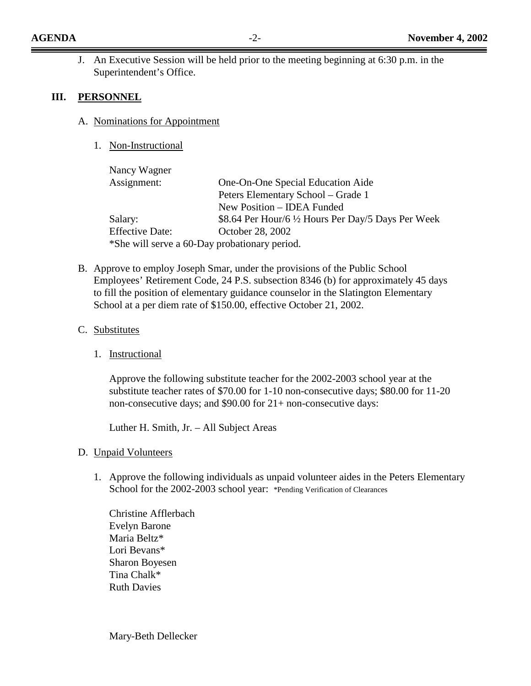J. An Executive Session will be held prior to the meeting beginning at 6:30 p.m. in the Superintendent's Office.

#### **III. PERSONNEL**

- A. Nominations for Appointment
	- 1. Non-Instructional

| Nancy Wagner           |                                                     |
|------------------------|-----------------------------------------------------|
| Assignment:            | One-On-One Special Education Aide                   |
|                        | Peters Elementary School – Grade 1                  |
|                        | New Position – IDEA Funded                          |
| Salary:                | \$8.64 Per Hour/6 1/2 Hours Per Day/5 Days Per Week |
| <b>Effective Date:</b> | October 28, 2002                                    |
|                        | *She will serve a 60-Day probationary period.       |

- B. Approve to employ Joseph Smar, under the provisions of the Public School Employees' Retirement Code, 24 P.S. subsection 8346 (b) for approximately 45 days to fill the position of elementary guidance counselor in the Slatington Elementary School at a per diem rate of \$150.00, effective October 21, 2002.
- C. Substitutes
	- 1. Instructional

Approve the following substitute teacher for the 2002-2003 school year at the substitute teacher rates of \$70.00 for 1-10 non-consecutive days; \$80.00 for 11-20 non-consecutive days; and \$90.00 for 21+ non-consecutive days:

Luther H. Smith, Jr. – All Subject Areas

#### D. Unpaid Volunteers

1. Approve the following individuals as unpaid volunteer aides in the Peters Elementary School for the 2002-2003 school year: \*Pending Verification of Clearances

Christine Afflerbach Evelyn Barone Maria Beltz\* Lori Bevans\* Sharon Boyesen Tina Chalk\* Ruth Davies

Mary-Beth Dellecker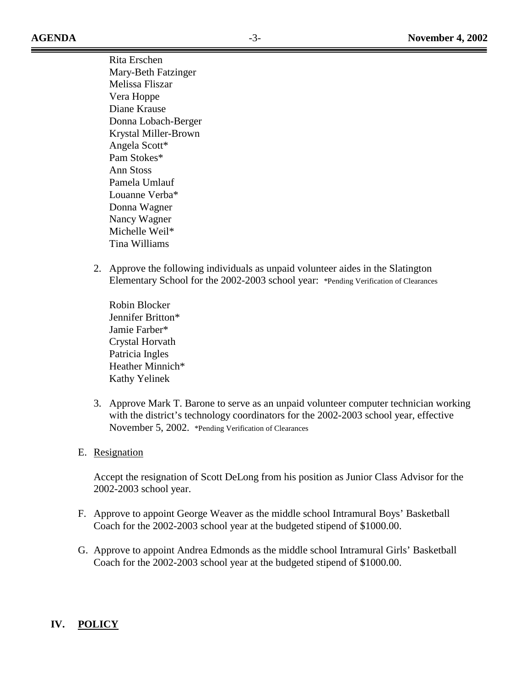**AGENDA** -3- **November 4, 2002** 

Rita Erschen Mary-Beth Fatzinger Melissa Fliszar Vera Hoppe Diane Krause Donna Lobach-Berger Krystal Miller-Brown Angela Scott\* Pam Stokes\* Ann Stoss Pamela Umlauf Louanne Verba\* Donna Wagner Nancy Wagner Michelle Weil\* Tina Williams

2. Approve the following individuals as unpaid volunteer aides in the Slatington Elementary School for the 2002-2003 school year: \*Pending Verification of Clearances

Robin Blocker Jennifer Britton\* Jamie Farber\* Crystal Horvath Patricia Ingles Heather Minnich\* Kathy Yelinek

- 3. Approve Mark T. Barone to serve as an unpaid volunteer computer technician working with the district's technology coordinators for the 2002-2003 school year, effective November 5, 2002. \*Pending Verification of Clearances
- E. Resignation

Accept the resignation of Scott DeLong from his position as Junior Class Advisor for the 2002-2003 school year.

- F. Approve to appoint George Weaver as the middle school Intramural Boys' Basketball Coach for the 2002-2003 school year at the budgeted stipend of \$1000.00.
- G. Approve to appoint Andrea Edmonds as the middle school Intramural Girls' Basketball Coach for the 2002-2003 school year at the budgeted stipend of \$1000.00.

## **IV. POLICY**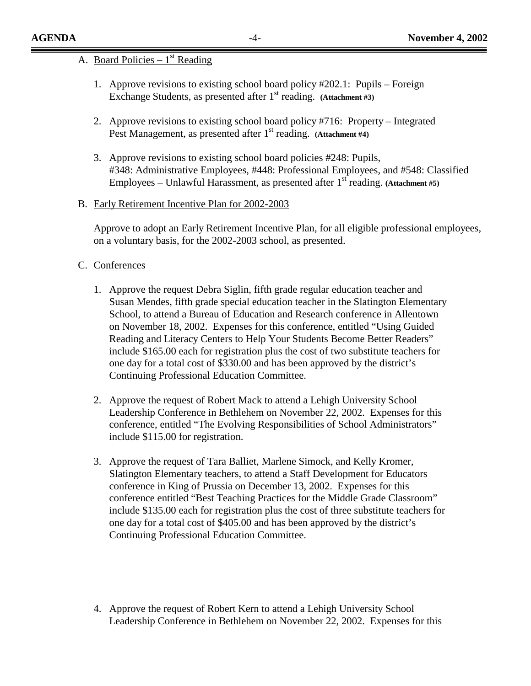#### A. Board Policies –  $1<sup>st</sup>$  Reading

- 1. Approve revisions to existing school board policy #202.1: Pupils Foreign Exchange Students, as presented after 1<sup>st</sup> reading. (Attachment #3)
- 2. Approve revisions to existing school board policy #716: Property Integrated Pest Management, as presented after 1<sup>st</sup> reading. (Attachment #4)
- 3. Approve revisions to existing school board policies #248: Pupils, #348: Administrative Employees, #448: Professional Employees, and #548: Classified Employees – Unlawful Harassment, as presented after  $1<sup>st</sup>$  reading. **(Attachment #5)**

#### B. Early Retirement Incentive Plan for 2002-2003

Approve to adopt an Early Retirement Incentive Plan, for all eligible professional employees, on a voluntary basis, for the 2002-2003 school, as presented.

#### C. Conferences

- 1. Approve the request Debra Siglin, fifth grade regular education teacher and Susan Mendes, fifth grade special education teacher in the Slatington Elementary School, to attend a Bureau of Education and Research conference in Allentown on November 18, 2002. Expenses for this conference, entitled "Using Guided Reading and Literacy Centers to Help Your Students Become Better Readers" include \$165.00 each for registration plus the cost of two substitute teachers for one day for a total cost of \$330.00 and has been approved by the district's Continuing Professional Education Committee.
- 2. Approve the request of Robert Mack to attend a Lehigh University School Leadership Conference in Bethlehem on November 22, 2002. Expenses for this conference, entitled "The Evolving Responsibilities of School Administrators" include \$115.00 for registration.
- 3. Approve the request of Tara Balliet, Marlene Simock, and Kelly Kromer, Slatington Elementary teachers, to attend a Staff Development for Educators conference in King of Prussia on December 13, 2002. Expenses for this conference entitled "Best Teaching Practices for the Middle Grade Classroom" include \$135.00 each for registration plus the cost of three substitute teachers for one day for a total cost of \$405.00 and has been approved by the district's Continuing Professional Education Committee.
- 4. Approve the request of Robert Kern to attend a Lehigh University School Leadership Conference in Bethlehem on November 22, 2002. Expenses for this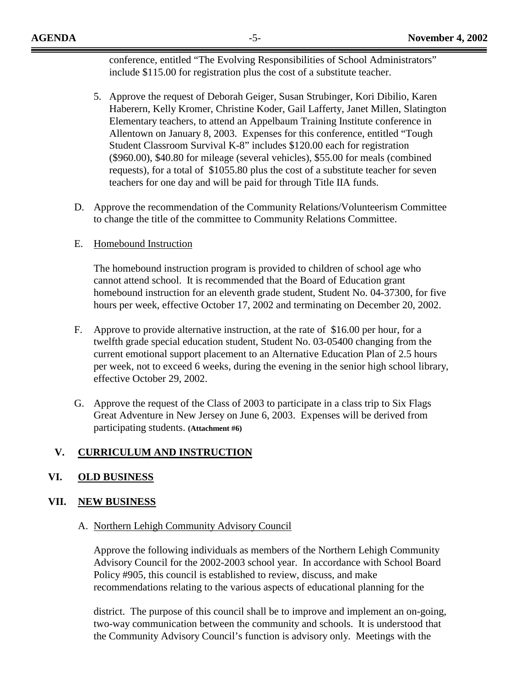conference, entitled "The Evolving Responsibilities of School Administrators" include \$115.00 for registration plus the cost of a substitute teacher.

- 5. Approve the request of Deborah Geiger, Susan Strubinger, Kori Dibilio, Karen Haberern, Kelly Kromer, Christine Koder, Gail Lafferty, Janet Millen, Slatington Elementary teachers, to attend an Appelbaum Training Institute conference in Allentown on January 8, 2003. Expenses for this conference, entitled "Tough Student Classroom Survival K-8" includes \$120.00 each for registration (\$960.00), \$40.80 for mileage (several vehicles), \$55.00 for meals (combined requests), for a total of \$1055.80 plus the cost of a substitute teacher for seven teachers for one day and will be paid for through Title IIA funds.
- D. Approve the recommendation of the Community Relations/Volunteerism Committee to change the title of the committee to Community Relations Committee.
- E. Homebound Instruction

The homebound instruction program is provided to children of school age who cannot attend school. It is recommended that the Board of Education grant homebound instruction for an eleventh grade student, Student No. 04-37300, for five hours per week, effective October 17, 2002 and terminating on December 20, 2002.

- F. Approve to provide alternative instruction, at the rate of \$16.00 per hour, for a twelfth grade special education student, Student No. 03-05400 changing from the current emotional support placement to an Alternative Education Plan of 2.5 hours per week, not to exceed 6 weeks, during the evening in the senior high school library, effective October 29, 2002.
- G. Approve the request of the Class of 2003 to participate in a class trip to Six Flags Great Adventure in New Jersey on June 6, 2003. Expenses will be derived from participating students. **(Attachment #6)**

## **V. CURRICULUM AND INSTRUCTION**

#### **VI. OLD BUSINESS**

#### **VII. NEW BUSINESS**

#### A. Northern Lehigh Community Advisory Council

Approve the following individuals as members of the Northern Lehigh Community Advisory Council for the 2002-2003 school year. In accordance with School Board Policy #905, this council is established to review, discuss, and make recommendations relating to the various aspects of educational planning for the

district. The purpose of this council shall be to improve and implement an on-going, two-way communication between the community and schools. It is understood that the Community Advisory Council's function is advisory only. Meetings with the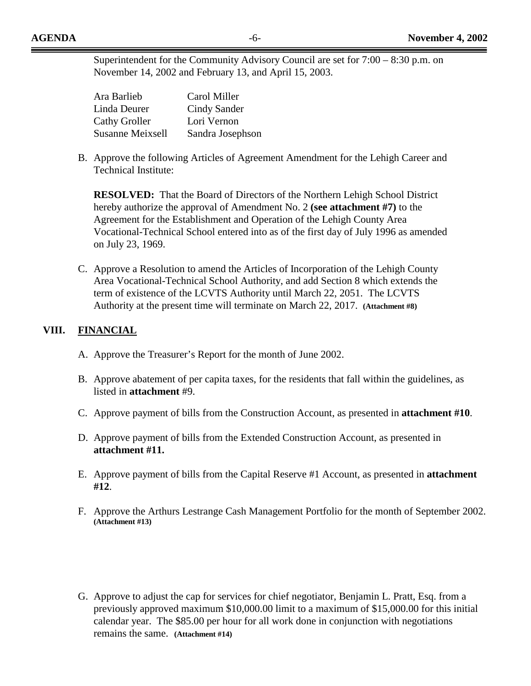Superintendent for the Community Advisory Council are set for 7:00 – 8:30 p.m. on November 14, 2002 and February 13, and April 15, 2003.

| Ara Barlieb             | Carol Miller     |
|-------------------------|------------------|
| Linda Deurer            | Cindy Sander     |
| <b>Cathy Groller</b>    | Lori Vernon      |
| <b>Susanne Meixsell</b> | Sandra Josephson |

B. Approve the following Articles of Agreement Amendment for the Lehigh Career and Technical Institute:

**RESOLVED:** That the Board of Directors of the Northern Lehigh School District hereby authorize the approval of Amendment No. 2 **(see attachment #7)** to the Agreement for the Establishment and Operation of the Lehigh County Area Vocational-Technical School entered into as of the first day of July 1996 as amended on July 23, 1969.

C. Approve a Resolution to amend the Articles of Incorporation of the Lehigh County Area Vocational-Technical School Authority, and add Section 8 which extends the term of existence of the LCVTS Authority until March 22, 2051. The LCVTS Authority at the present time will terminate on March 22, 2017. **(Attachment #8)**

### **VIII. FINANCIAL**

- A. Approve the Treasurer's Report for the month of June 2002.
- B. Approve abatement of per capita taxes, for the residents that fall within the guidelines, as listed in **attachment** #9.
- C. Approve payment of bills from the Construction Account, as presented in **attachment #10**.
- D. Approve payment of bills from the Extended Construction Account, as presented in **attachment #11.**
- E. Approve payment of bills from the Capital Reserve #1 Account, as presented in **attachment #12**.
- F. Approve the Arthurs Lestrange Cash Management Portfolio for the month of September 2002. **(Attachment #13)**
- G. Approve to adjust the cap for services for chief negotiator, Benjamin L. Pratt, Esq. from a previously approved maximum \$10,000.00 limit to a maximum of \$15,000.00 for this initial calendar year. The \$85.00 per hour for all work done in conjunction with negotiations remains the same. **(Attachment #14)**